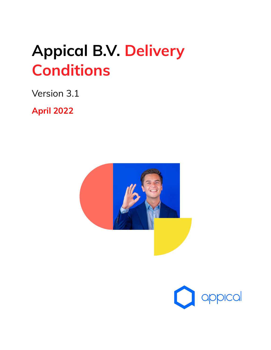# **Appical B.V. Delivery Conditions**

Version 3.1

**April 2022**



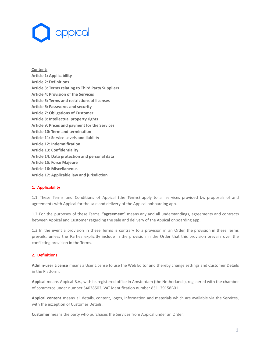

**Content: Article 1: Applicability Article 2: Definitions Article 3: Terms relating to Third Party Suppliers Article 4: Provision of the Services Article 5: Terms and restrictions of licenses Article 6: Passwords and security Article 7: Obligations of Customer Article 8: Intellectual property rights Article 9: Prices and payment for the Services Article 10: Term and termination Article 11: Service Levels and liability Article 12: Indemnification Article 13: Confidentiality Article 14: Data protection and personal data Article 15: Force Majeure Article 16: Miscellaneous Article 17: Applicable law and jurisdiction**

#### **1. Applicability**

1.1 These Terms and Conditions of Appical (the **Terms**) apply to all services provided by, proposals of and agreements with Appical for the sale and delivery of the Appical onboarding app.

1.2 For the purposes of these Terms, "**agreement**" means any and all understandings, agreements and contracts between Appical and Customer regarding the sale and delivery of the Appical onboarding app.

1.3 In the event a provision in these Terms is contrary to a provision in an Order, the provision in these Terms prevails, unless the Parties explicitly include in the provision in the Order that this provision prevails over the conflicting provision in the Terms.

# **2. Definitions**

**Admin-user License** means a User License to use the Web Editor and thereby change settings and Customer Details in the Platform.

**Appical** means Appical B.V., with its registered office in Amsterdam (the Netherlands), registered with the chamber of commerce under number 54038502, VAT identification number 851129158B01.

**Appical content** means all details, content, logos, information and materials which are available via the Services, with the exception of Customer Details.

**Customer** means the party who purchases the Services from Appical under an Order.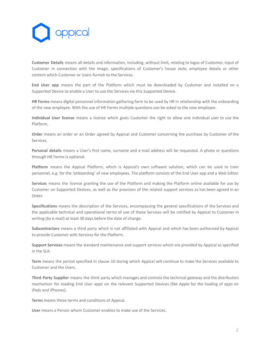

**Customer Details** means all details and information, including, without limit, relating to logos of Customer, input of Customer in connection with the image, specifications of Customer's house style, employee details or other content which Customer or Users furnish to the Services.

**End User app** means the part of the Platform which must be downloaded by Customer and installed on a Supported Device to enable a User to use the Services via this Supported Device.

**HR Forms** means digital personnel information gathering form to be used by HR in relationship with the onboarding of the new employee. With the use of HR Forms multiple questions can be asked to the new employee.

**Individual User license** means a license which gives Customer the right to allow one individual user to use the Platform.

**Order** means an order or an Order agreed by Appical and Customer concerning the purchase by Customer of the Services.

**Personal details** means a User's first name, surname and e-mail address will be requested. A photo or questions through HR Forms is optional.

**Platform** means the Appical Platform, which is Appical's own software solution, which can be used to train personnel, e.g. for the 'onboarding' of new employees. The platform consists of the End User app and a Web Editor.

**Services** means the license granting the use of the Platform and making the Platform online available for use by Customer on Supported Devices, as well as the provision of the related support services as has been agreed in an Order.

**Specifications** means the description of the Services, encompassing the general specifications of the Services and the applicable technical and operational terms of use of these Services will be notified by Appical to Customer in writing (by e-mail) at least 30 days before the date of change.

**Subcontractors** means a third party which is not affiliated with Appical and which has been authorised by Appical to provide Customer with Services for the Platform.

**Support Services** means the standard maintenance and support services which are provided by Appical as specified in the SLA.

**Term** means the period specified in clause 10 during which Appical will continue to make the Services available to Customer and the Users.

**Third Party Supplier** means the third party which manages and controls the technical gateway and the distribution mechanism for loading End User apps on the relevant Supported Devices (like Apple for the loading of apps on iPads and iPhones).

**Terms** means these terms and conditions of Appical.

**User** means a Person whom Customer enables to make use of the Services.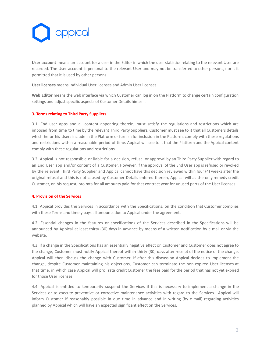

**User account** means an account for a user in the Editor in which the user statistics relating to the relevant User are recorded. The User account is personal to the relevant User and may not be transferred to other persons, nor is it permitted that it is used by other persons.

**User licenses** means Individual User licenses and Admin User licenses.

**Web Editor** means the web interface via which Customer can log in on the Platform to change certain configuration settings and adjust specific aspects of Customer Details himself.

## **3. Terms relating to Third Party Suppliers**

3.1. End user apps and all content appearing therein, must satisfy the regulations and restrictions which are imposed from time to time by the relevant Third Party Suppliers. Customer must see to it that all Customers details which he or his Users include in the Platform or furnish for inclusion in the Platform, comply with these regulations and restrictions within a reasonable period of time. Appical will see to it that the Platform and the Appical content comply with these regulations and restrictions.

3.2. Appical is not responsible or liable for a decision, refusal or approval by an Third Party Supplier with regard to an End User app and/or content of a Customer. However, if the approval of the End User app is refused or revoked by the relevant Third Party Supplier and Appical cannot have this decision reviewed within four (4) weeks after the original refusal and this is not caused by Customer Details entered therein, Appical will as the only remedy credit Customer, on his request, pro rata for all amounts paid for that contract year for unused parts of the User licenses.

#### **4. Provision of the Services**

4.1. Appical provides the Services in accordance with the Specifications, on the condition that Customer complies with these Terms and timely pays all amounts due to Appical under the agreement.

4.2. Essential changes in the features or specifications of the Services described in the Specifications will be announced by Appical at least thirty (30) days in advance by means of a written notification by e-mail or via the website.

4.3. If a change in the Specifications has an essentially negative effect on Customer and Customer does not agree to the change, Customer must notify Appical thereof within thirty (30) days after receipt of the notice of the change. Appical will then discuss the change with Customer. If after this discussion Appical decides to implement the change, despite Customer maintaining his objections, Customer can terminate the non-expired User licenses at that time, in which case Appical will pro rata credit Customer the fees paid for the period that has not yet expired for those User licenses.

4.4. Appical is entitled to temporarily suspend the Services if this is necessary to implement a change in the Services or to execute preventive or corrective maintenance activities with regard to the Services. Appical will inform Customer if reasonably possible in due time in advance and in writing (by e-mail) regarding activities planned by Appical which will have an expected significant effect on the Services.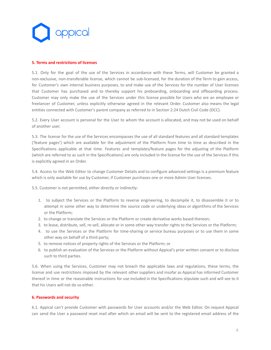

## **5. Terms and restrictions of licenses**

5.1. Only for the goal of the use of the Services in accordance with these Terms, will Customer be granted a non-exclusive, non-transferable license, which cannot be sub-licensed, for the duration of the Term to gain access, for Customer's own internal business purposes, to and make use of the Services for the number of User licenses that Customer has purchased and to thereby support his preboarding, onboarding and offboarding process. Customer may only make the use of the Services under this license possible for Users who are an employee or freelancer of Customer, unless explicitly otherwise agreed in the relevant Order. Customer also means the legal entities connected with Customer's parent company as referred to in Section 2:24 Dutch Civil Code (DCC).

5.2. Every User account is personal for the User to whom the account is allocated, and may not be used on behalf of another user.

5.3. The license for the use of the Services encompasses the use of all standard features and all standard templates ('feature pages') which are available for the adjustment of the Platform from time to time as described in the Specifications applicable at that time. Features and templates/feature pages for the adjusting of the Platform (which are referred to as such in the Specifications) are only included in the license for the use of the Services if this is explicitly agreed in an Order.

5.4. Access to the Web Editor to change Customer Details and to configure advanced settings is a premium feature which is only available for use by Customer, if Customer purchases one or more Admin User licenses.

5.5. Customer is not permitted, either directly or indirectly:

- 1. to subject the Services or the Platform to reverse engineering, to decompile it, to disassemble it or to attempt in some other way to determine the source code or underlying ideas or algorithms of the Services or the Platform;
- 2. to change or translate the Services or the Platform or create derivative works based thereon;
- 3. to lease, distribute, sell, re-sell, allocate or in some other way transfer rights to the Services or the Platform;
- 4. to use the Services or the Platform for time-sharing or service bureau purposes or to use them in some other way on behalf of a third party;
- 5. to remove notices of property rights of the Services or the Platform; or
- 6. to publish an evaluation of the Services or the Platform without Appical's prior written consent or to disclose such to third parties.

5.6. When using the Services, Customer may not breach the applicable laws and regulations, these terms, the license and use restrictions imposed by the relevant other suppliers and insofar as Appical has informed Customer thereof in time or the reasonable instructions for use included in the Specifications stipulate such and will see to it that his Users will not do so either.

#### **6. Passwords and security**

6.1. Appical can't provide Customer with passwords for User accounts and/or the Web Editor. On request Appical can send the User a password reset mail after which an email will be sent to the registered email address of the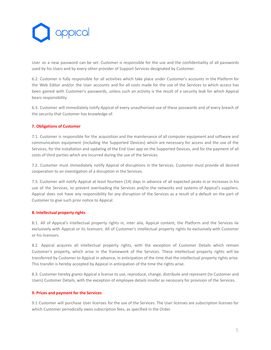

User so a new password can be set. Customer is responsible for the use and the confidentiality of all passwords used by his Users and by every other provider of Support Services designated by Customer.

6.2. Customer is fully responsible for all activities which take place under Customer's accounts in the Platform for the Web Editor and/or the User accounts and for all costs made for the use of the Services to which access has been gained with Customer's passwords, unless such an activity is the result of a security leak for which Appical bears responsibility.

6.3. Customer will immediately notify Appical of every unauthorised use of these passwords and of every breach of the security that Customer has knowledge of.

# **7. Obligations of Customer**

7.1. Customer is responsible for the acquisition and the maintenance of all computer equipment and software and communication equipment (including the Supported Devices) which are necessary for access and the use of the Services, for the installation and updating of the End User app on the Supported Devices, and for the payment of all costs of third parties which are incurred during the use of the Services.

7.2. Customer must immediately notify Appical of disruptions in the Services. Customer must provide all desired cooperation to an investigation of a disruption in the Services.

7.3. Customer will notify Appical at least fourteen (14) days in advance of all expected peaks in or increases in his use of the Services, to prevent overloading the Services and/or the networks and systems of Appical's suppliers. Appical does not have any responsibility for any disruption of the Services as a result of a default on the part of Customer to give such prior notice to Appical.

# **8. Intellectual property rights**

8.1. All of Appical's intellectual property rights in, inter alia, Appical content, the Platform and the Services lie exclusively with Appical or its licensors. All of Customer's intellectual property rights lie exclusively with Customer or his licensors.

8.2. Appical acquires all intellectual property rights, with the exception of Customer Details which remain Customer's property, which arise in the framework of the Services. These intellectual property rights will be transferred by Customer to Appical in advance, in anticipation of the time that the intellectual property rights arise. This transfer is hereby accepted by Appical in anticipation of the time the rights arise.

8.3. Customer hereby grants Appical a license to use, reproduce, change, distribute and represent (to Customer and Users) Customer Details, with the exception of employee details insofar as necessary for provision of the Services.

# **9. Prices and payment for the Services**

9.1 Customer will purchase User licenses for the use of the Services. The User licenses are subscription licenses for which Customer periodically owes subscription fees, as specified in the Order.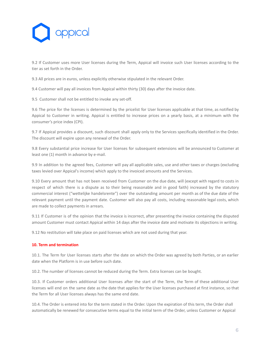

9.2 If Customer uses more User licenses during the Term, Appical will invoice such User licenses according to the tier as set forth in the Order.

9.3 All prices are in euros, unless explicitly otherwise stipulated in the relevant Order.

9.4 Customer will pay all invoices from Appical within thirty (30) days after the invoice date.

9.5 Customer shall not be entitled to invoke any set-off.

9.6 The price for the licenses is determined by the pricelist for User licenses applicable at that time, as notified by Appical to Customer in writing. Appical is entitled to increase prices on a yearly basis, at a minimum with the consumer's price index (CPI).

9.7 If Appical provides a discount, such discount shall apply only to the Services specifically identified in the Order. The discount will expire upon any renewal of the Order.

9.8 Every substantial price increase for User licenses for subsequent extensions will be announced to Customer at least one (1) month in advance by e-mail.

9.9 In addition to the agreed fees, Customer will pay all applicable sales, use and other taxes or charges (excluding taxes levied over Appical's income) which apply to the invoiced amounts and the Services.

9.10 Every amount that has not been received from Customer on the due date, will (except with regard to costs in respect of which there is a dispute as to their being reasonable and in good faith) increased by the statutory commercial interest ("wettelijke handelsrente") over the outstanding amount per month as of the due date of the relevant payment until the payment date. Customer will also pay all costs, including reasonable legal costs, which are made to collect payments in arrears.

9.11 If Customer is of the opinion that the invoice is incorrect, after presenting the invoice containing the disputed amount Customer must contact Appical within 14 days after the invoice date and motivate its objections in writing.

9.12 No restitution will take place on paid licenses which are not used during that year.

#### **10. Term and termination**

10.1. The Term for User licenses starts after the date on which the Order was agreed by both Parties, or an earlier date when the Platform is in use before such date.

10.2. The number of licenses cannot be reduced during the Term. Extra licenses can be bought.

10.3. If Customer orders additional User licenses after the start of the Term, the Term of these additional User licenses will end on the same date as the date that applies for the User licenses purchased at first instance, so that the Term for all User licenses always has the same end date.

10.4. The Order is entered into for the term stated in the Order. Upon the expiration of this term, the Order shall automatically be renewed for consecutive terms equal to the initial term of the Order, unless Customer or Appical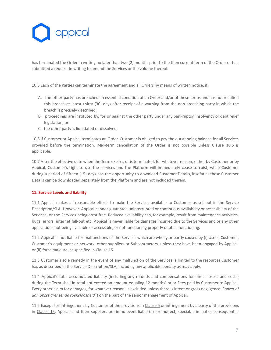

has terminated the Order in writing no later than two (2) months prior to the then current term of the Order or has submitted a request in writing to amend the Services or the volume thereof.

10.5 Each of the Parties can terminate the agreement and all Orders by means of written notice, if:

- A. the other party has breached an essential condition of an Order and/or of these terms and has not rectified this breach at latest thirty (30) days after receipt of a warning from the non-breaching party in which the breach is precisely described;
- B. proceedings are instituted by, for or against the other party under any bankruptcy, insolvency or debt relief legislation; or
- C. the other party is liquidated or dissolved.

10.6 If Customer or Appical terminates an Order, Customer is obliged to pay the outstanding balance for all Services provided before the termination. Mid-term cancellation of the Order is not possible unless Clause 10.5 is applicable.

10.7 After the effective date when the Term expires or is terminated, for whatever reason, either by Customer or by Appical, Customer's right to use the services and the Platform will immediately cease to exist, while Customer during a period of fifteen (15) days has the opportunity to download Customer Details, insofar as these Customer Details can be downloaded separately from the Platform and are not included therein.

# **11. Service Levels and liability**

11.1 Appical makes all reasonable efforts to make the Services available to Customer as set out in the Service Description/SLA. However, Appical cannot guarantee uninterrupted or continuous availability or accessibility of the Services, or the Services being error-free. Reduced availability can, for example, result from maintenance activities, bugs, errors, internet fall-out etc. Appical is never liable for damages incurred due to the Services and or any other applications not being available or accessible, or not functioning properly or at all functioning.

11.2 Appical is not liable for malfunctions of the Services which are wholly or partly caused by (i) Users, Customer, Customer's equipment or network, other suppliers or Subcontractors, unless they have been engaged by Appical; or (ii) force majeure, as specified in Clause 15.

11.3 Customer's sole remedy in the event of any malfunction of the Services is limited to the resources Customer has as described in the Service Description/SLA, including any applicable penalty as may apply.

11.4 Appical's total accumulated liability (including any refunds and compensations for direct losses and costs) during the Term shall in total not exceed an amount equaling 12 months' prior Fees paid by Customer to Appical. Every other claim for damages, for whatever reason, is excluded unless there is intent or gross negligence ("*opzet of aan opzet grenzende roekeloosheid*") on the part of the senior management of Appical.

11.5 Except for infringement by Customer of the provisions in Clause 5 or infringement by a party of the provisions in Clause 15, Appical and their suppliers are in no event liable (a) for indirect, special, criminal or consequential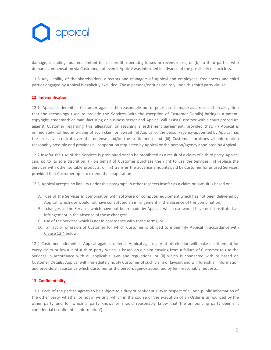

damage, including, but not limited to, lost profit, operating losses or revenue loss, or (b) to third parties who demand compensation via Customer, not even if Appical was informed in advance of the possibility of such loss.

11.6 Any liability of the shareholders, directors and managers of Appical and employees, freelancers and third parties engaged by Appical is explicitly excluded. These persons/entities can rely upon this third party clause.

## **12. Indemnification**

12.1. Appical indemnifies Customer against the reasonable out-of-pocket costs made as a result of an allegation that the technology used to provide the Services (with the exception of Customer Details) infringes a patent, copyright, trademark or manufacturing or business secret and Appical will assist Customer with a court procedure against Customer regarding this allegation or reaching a settlement agreement, provided that: (i) Appical is immediately notified in writing of such claim or lawsuit; (ii) Appical or the person/agency appointed by Appical has the exclusive control over the defense and/or the settlement; and (iii) Customer furnishes all information reasonably possible and provides all cooperation requested by Appical or the person/agency appointed by Appical.

12.2 Insofar the use of the Services is prohibited or can be prohibited as a result of a claim of a third party, Appical can, up to its sole discretion: (i) on behalf of Customer purchase the right to use the Services; (ii) replace the Services with other suitable products; or (iii) transfer the advance amounts paid by Customer for unused Services, provided that Customer opts to extend the cooperation.

12.3 Appical accepts no liability under this paragraph in other respects insofar as a claim or lawsuit is based on:

- A. use of the Services in combination with software or computer equipment which has not been delivered by Appical, which use would not have constituted an infringement in the absence of this combination;
- B. changes in the Services which have not been made by Appical, which use would have not constituted an infringement in the absence of these changes;
- C. use of the Services which is not in accordance with these terms; or
- D. an act or omission of Customer for which Customer is obliged to indemnify Appical in accordance with Clause 12.4 below.

12.4 Customer indemnifies Appical against, defends Appical against, or at his election will make a settlement for every claim or lawsuit of a third party which is based on a claim ensuing from a failure of Customer to use the Services in accordance with all applicable laws and regulations; or (ii) which is connected with or based on Customer Details. Appical will immediately notify Customer of such claim or lawsuit and will furnish all information and provide all assistance which Customer or the person/agency appointed by him reasonably requests.

#### **13. Confidentiality**

13.1. Each of the parties agrees to be subject to a duty of confidentiality in respect of all non-public information of the other party, whether or not in writing, which in the course of the execution of an Order is announced by the other party and for which a party knows or should reasonably know that the announcing party deems it confidential ('confidential information').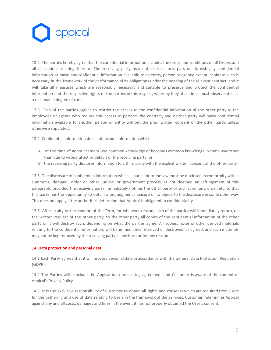

13.2. The parties hereby agree that the confidential information includes the terms and conditions of all Orders and all discussions relating thereto. The receiving party may not disclose, use, pass on, furnish any confidential information or make any confidential information available to an entity, person or agency, except insofar as such is necessary in the framework of the performance of its obligations under the heading of the relevant contract, and it will take all measures which are reasonably necessary and suitable to preserve and protect the confidential information and the respective rights of the parties in this respect, whereby they at all times must observe at least a reasonable degree of care.

13.3. Each of the parties agrees to restrict the access to the confidential information of the other party to the employees or agents who require this access to perform the contract, and neither party will make confidential information available to another person or entity without the prior written consent of the other party, unless otherwise stipulated.

13.4. Confidential information does not include information which:

- A. at the time of announcement was common knowledge or becomes common knowledge in some way other than due to wrongful act or default of the receiving party; or
- B. the receiving party discloses information to a third party with the explicit written consent of the other party.

13.5. The disclosure of confidential information which is pursuant to the law must be disclosed in conformity with a summons, demand, order or other judicial or government process, is not deemed an infringement of this paragraph, provided the receiving party immediately notifies the other party of such summons, order, etc. so that this party has the opportunity to obtain a prejudgment measure or to object to the disclosure in some other way. This does not apply if the authorities determine that Appical is obligated to confidentiality.

13.6. After expiry or termination of the Term, for whatever reason, each of the parties will immediately return, on the written request of the other party, to the other party all copies of the confidential information of the other party or it will destroy such, depending on what the parties agree. All copies, notes or other derived materials relating to the confidential information, will be immediately retrieved or destroyed, as agreed, and such materials may not be kept or used by the receiving party in any form or for any reason.

# **14. Data protection and personal data**

14.1 Each Party agrees that it will process personal data in accordance with the General Data Protection Regulation (GDPR).

14.2 The Parties will conclude the Appical data processing agreement and Customer is aware of the content of Appical's Privacy Policy.

14.3. It is the exclusive responsibility of Customer to obtain all rights and consents which are required from Users for the gathering and use of data relating to Users in the framework of the Services. Customer indemnifies Appical against any and all costs, damages and fines in the event it has not properly obtained the User's consent.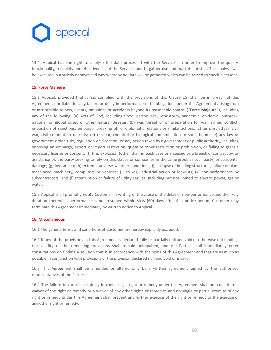

14.4. Appical has the right to analyse the data processed with the Services, in order to improve the quality, functionality, reliability and effectiveness of the Services and to gather use and market statistics. This analysis will be executed in a strictly anonymised way whereby no data will be gathered which can be traced to specific persons.

## **15. Force Majeure**

15.1 Appical, provided that it has complied with the provisions of this Clause 15, shall be in breach of this Agreement, nor liable for any failure or delay in performance of its obligations under this Agreement arising from or attributable to acts, events, omissions or accidents beyond its reasonable control ("**Force Majeure**"), including any of the following: (a) Acts of God, including flood, earthquake, windstorm, pandemic, epidemic, outbreak, national or global crises or other natural disaster; (b) war, threat of or preparation for war, armed conflict, imposition of sanctions, embargo, breaking off of diplomatic relations or similar actions; (c) terrorist attack, civil war, civil commotion or riots; (d) nuclear, chemical or biological contamination or sonic boom; (e) any law or government order, rule, regulation or direction, or any action taken by a government or public authority, including imposing an embargo, export or import restriction, quota or other restriction or prohibition, or failing to grant a necessary license or consent; (f) fire, explosion (other than in each case one caused by a breach of contract by, or assistance of, the party seeking to rely on this clause or companies in the same group as such party) or accidental damage; (g) loss at sea; (h) extreme adverse weather conditions; (i) collapse of building structures, failure of plant machinery, machinery, computers or vehicles; (j) strikes, industrial action or lockouts; (k) non-performance by subcontractors; and (l) interruption or failure of utility service, including but not limited to electric power, gas or water.

15.2 Appical shall promptly notify Customer in writing of the cause of the delay or non-performance and the likely duration thereof. If performance is not resumed within sixty (60) days after that notice period, Customer may terminate this Agreement immediately by written notice to Appical.

#### **16. Miscellaneous**

16.1 The general terms and conditions of Customer are hereby explicitly excluded.

16.2 If any of the provisions in this Agreement is declared fully or partially null and void or otherwise not binding, the validity of the remaining provisions shall remain unimpaired, and the Parties shall immediately enter consultations on finding a solution that is in accordance with the spirit of this Agreement and that are as much as possible in conjunction with provisions of the provision declared null and void or invalid.

16.3 This Agreement shall be amended or altered only by a written agreement signed by the authorised representatives of the Parties.

16.4 The failure to exercise or delay in exercising a right or remedy under this Agreement shall not constitute a waiver of the right or remedy or a waiver of any other rights or remedies and no single or partial exercise of any right or remedy under this Agreement shall prevent any further exercise of the right or remedy or the exercise of any other right or remedy.